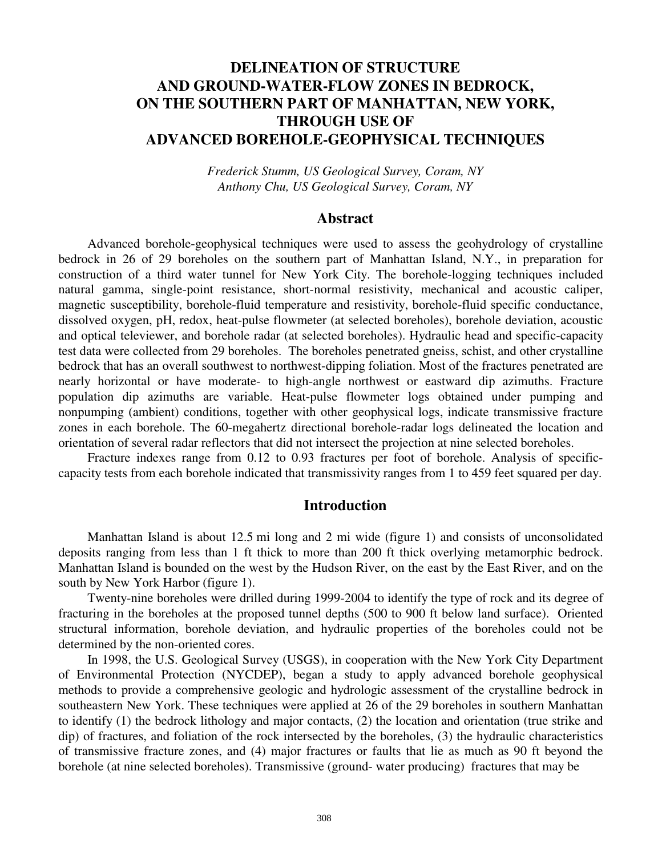# **DELINEATION OF STRUCTURE AND GROUND-WATER-FLOW ZONES IN BEDROCK, ON THE SOUTHERN PART OF MANHATTAN, NEW YORK, THROUGH USE OF ADVANCED BOREHOLE-GEOPHYSICAL TECHNIQUES**

*Frederick Stumm, US Geological Survey, Coram, NY Anthony Chu, US Geological Survey, Coram, NY* 

## **Abstract**

Advanced borehole-geophysical techniques were used to assess the geohydrology of crystalline bedrock in 26 of 29 boreholes on the southern part of Manhattan Island, N.Y., in preparation for construction of a third water tunnel for New York City. The borehole-logging techniques included natural gamma, single-point resistance, short-normal resistivity, mechanical and acoustic caliper, magnetic susceptibility, borehole-fluid temperature and resistivity, borehole-fluid specific conductance, dissolved oxygen, pH, redox, heat-pulse flowmeter (at selected boreholes), borehole deviation, acoustic and optical televiewer, and borehole radar (at selected boreholes). Hydraulic head and specific-capacity test data were collected from 29 boreholes. The boreholes penetrated gneiss, schist, and other crystalline bedrock that has an overall southwest to northwest-dipping foliation. Most of the fractures penetrated are nearly horizontal or have moderate- to high-angle northwest or eastward dip azimuths. Fracture population dip azimuths are variable. Heat-pulse flowmeter logs obtained under pumping and nonpumping (ambient) conditions, together with other geophysical logs, indicate transmissive fracture zones in each borehole. The 60-megahertz directional borehole-radar logs delineated the location and orientation of several radar reflectors that did not intersect the projection at nine selected boreholes.

Fracture indexes range from 0.12 to 0.93 fractures per foot of borehole. Analysis of specificcapacity tests from each borehole indicated that transmissivity ranges from 1 to 459 feet squared per day.

# **Introduction**

Manhattan Island is about 12.5 mi long and 2 mi wide (figure 1) and consists of unconsolidated deposits ranging from less than 1 ft thick to more than 200 ft thick overlying metamorphic bedrock. Manhattan Island is bounded on the west by the Hudson River, on the east by the East River, and on the south by New York Harbor (figure 1).

Twenty-nine boreholes were drilled during 1999-2004 to identify the type of rock and its degree of fracturing in the boreholes at the proposed tunnel depths (500 to 900 ft below land surface). Oriented structural information, borehole deviation, and hydraulic properties of the boreholes could not be determined by the non-oriented cores.

In 1998, the U.S. Geological Survey (USGS), in cooperation with the New York City Department of Environmental Protection (NYCDEP), began a study to apply advanced borehole geophysical methods to provide a comprehensive geologic and hydrologic assessment of the crystalline bedrock in southeastern New York. These techniques were applied at 26 of the 29 boreholes in southern Manhattan to identify (1) the bedrock lithology and major contacts, (2) the location and orientation (true strike and dip) of fractures, and foliation of the rock intersected by the boreholes, (3) the hydraulic characteristics of transmissive fracture zones, and (4) major fractures or faults that lie as much as 90 ft beyond the borehole (at nine selected boreholes). Transmissive (ground- water producing) fractures that may be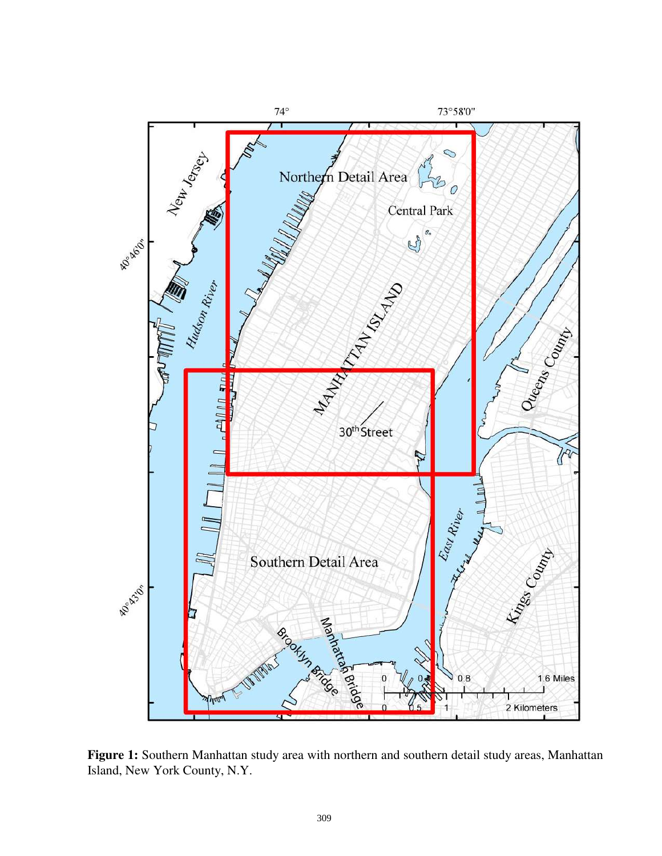

**Figure 1:** Southern Manhattan study area with northern and southern detail study areas, Manhattan Island, New York County, N.Y.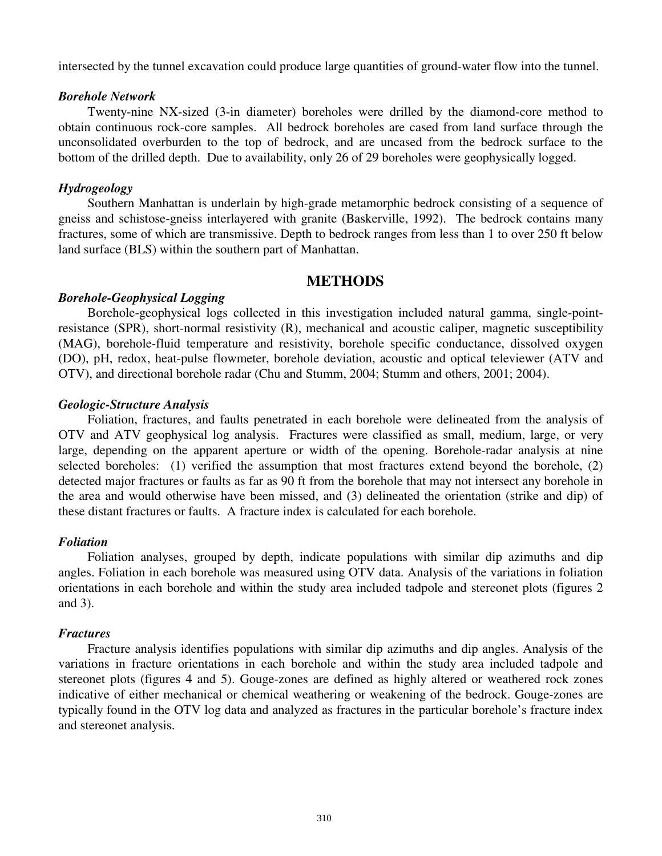intersected by the tunnel excavation could produce large quantities of ground-water flow into the tunnel.

### *Borehole Network*

Twenty-nine NX-sized (3-in diameter) boreholes were drilled by the diamond-core method to obtain continuous rock-core samples. All bedrock boreholes are cased from land surface through the unconsolidated overburden to the top of bedrock, and are uncased from the bedrock surface to the bottom of the drilled depth. Due to availability, only 26 of 29 boreholes were geophysically logged.

## *Hydrogeology*

Southern Manhattan is underlain by high-grade metamorphic bedrock consisting of a sequence of gneiss and schistose-gneiss interlayered with granite (Baskerville, 1992). The bedrock contains many fractures, some of which are transmissive. Depth to bedrock ranges from less than 1 to over 250 ft below land surface (BLS) within the southern part of Manhattan.

# **METHODS**

## *Borehole-Geophysical Logging*

Borehole-geophysical logs collected in this investigation included natural gamma, single-pointresistance (SPR), short-normal resistivity (R), mechanical and acoustic caliper, magnetic susceptibility (MAG), borehole-fluid temperature and resistivity, borehole specific conductance, dissolved oxygen (DO), pH, redox, heat-pulse flowmeter, borehole deviation, acoustic and optical televiewer (ATV and OTV), and directional borehole radar (Chu and Stumm, 2004; Stumm and others, 2001; 2004).

## *Geologic-Structure Analysis*

Foliation, fractures, and faults penetrated in each borehole were delineated from the analysis of OTV and ATV geophysical log analysis. Fractures were classified as small, medium, large, or very large, depending on the apparent aperture or width of the opening. Borehole-radar analysis at nine selected boreholes: (1) verified the assumption that most fractures extend beyond the borehole, (2) detected major fractures or faults as far as 90 ft from the borehole that may not intersect any borehole in the area and would otherwise have been missed, and (3) delineated the orientation (strike and dip) of these distant fractures or faults. A fracture index is calculated for each borehole.

## *Foliation*

Foliation analyses, grouped by depth, indicate populations with similar dip azimuths and dip angles. Foliation in each borehole was measured using OTV data. Analysis of the variations in foliation orientations in each borehole and within the study area included tadpole and stereonet plots (figures 2 and 3).

#### *Fractures*

Fracture analysis identifies populations with similar dip azimuths and dip angles. Analysis of the variations in fracture orientations in each borehole and within the study area included tadpole and stereonet plots (figures 4 and 5). Gouge-zones are defined as highly altered or weathered rock zones indicative of either mechanical or chemical weathering or weakening of the bedrock. Gouge-zones are typically found in the OTV log data and analyzed as fractures in the particular borehole's fracture index and stereonet analysis.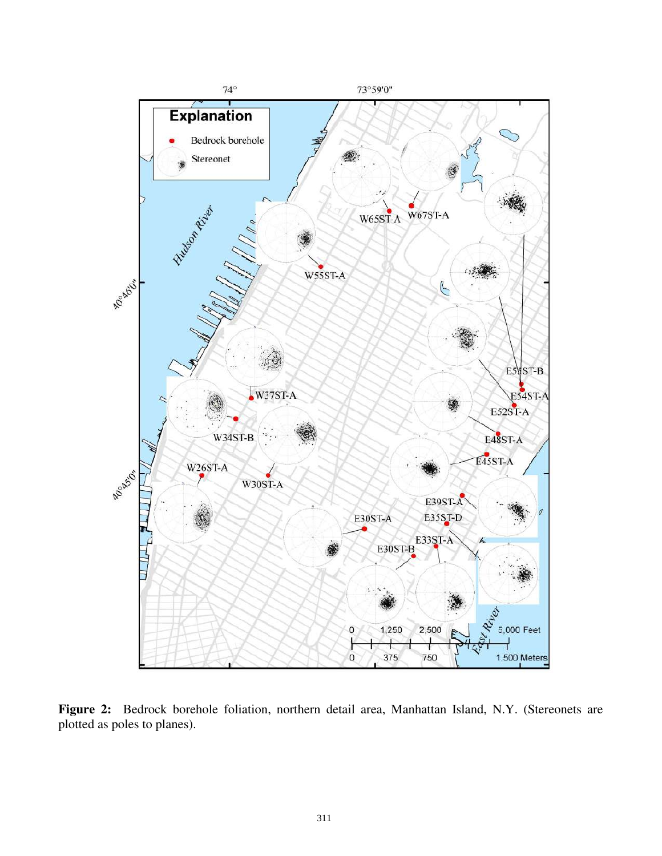

**Figure 2:** Bedrock borehole foliation, northern detail area, Manhattan Island, N.Y. (Stereonets are plotted as poles to planes).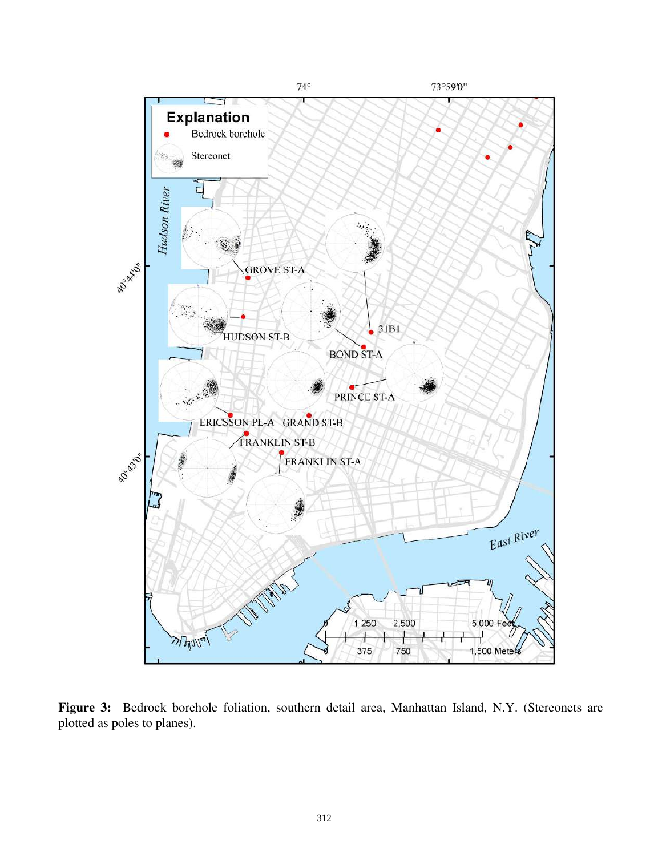

**Figure 3:** Bedrock borehole foliation, southern detail area, Manhattan Island, N.Y. (Stereonets are plotted as poles to planes).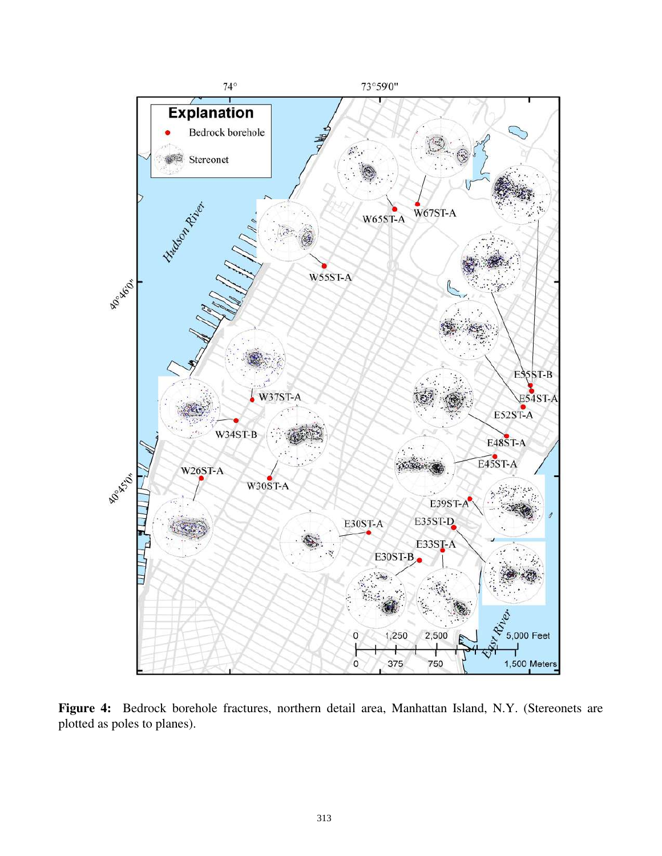

**Figure 4:** Bedrock borehole fractures, northern detail area, Manhattan Island, N.Y. (Stereonets are plotted as poles to planes).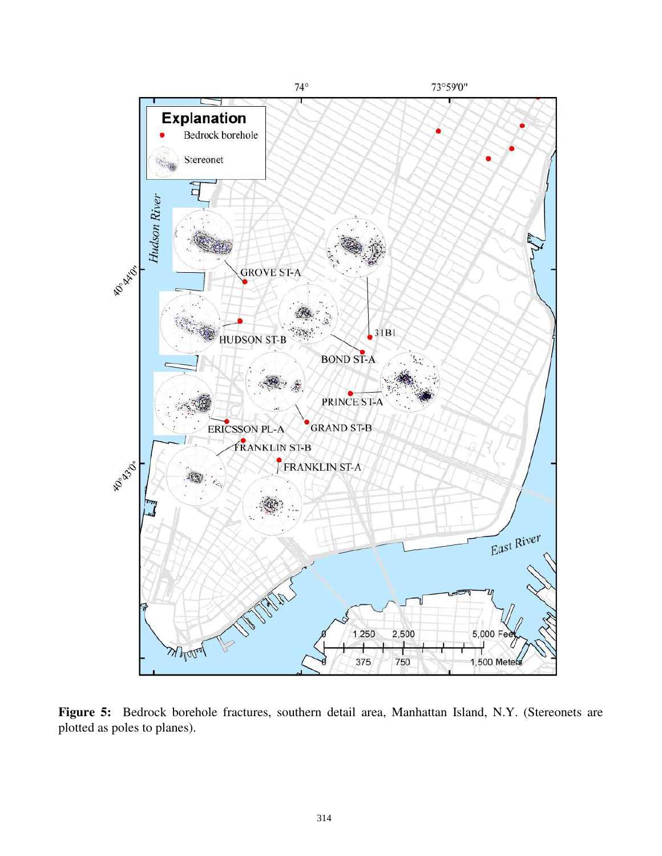

**Figure 5:** Bedrock borehole fractures, southern detail area, Manhattan Island, N.Y. (Stereonets are plotted as poles to planes).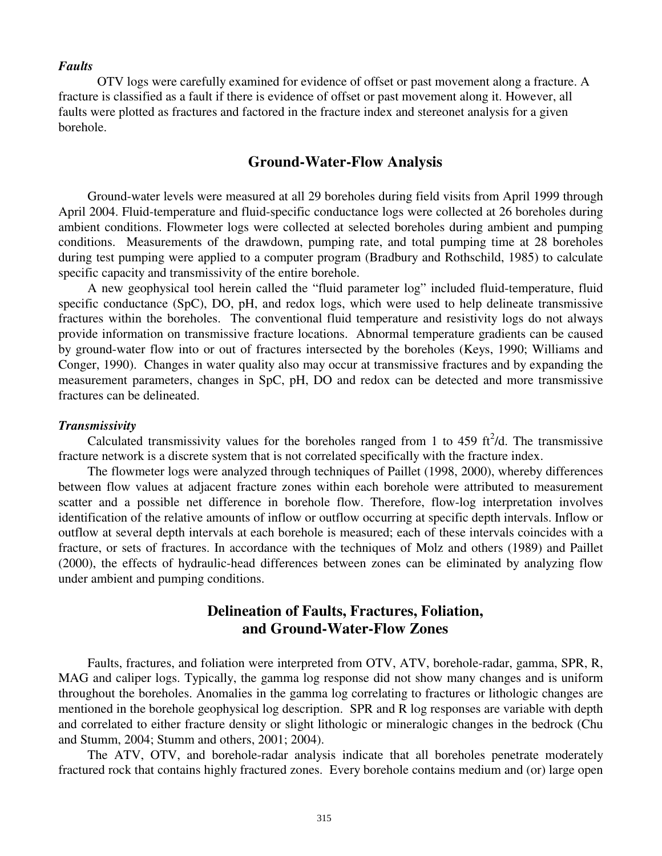#### *Faults*

OTV logs were carefully examined for evidence of offset or past movement along a fracture. A fracture is classified as a fault if there is evidence of offset or past movement along it. However, all faults were plotted as fractures and factored in the fracture index and stereonet analysis for a given borehole.

## **Ground-Water-Flow Analysis**

Ground-water levels were measured at all 29 boreholes during field visits from April 1999 through April 2004. Fluid-temperature and fluid-specific conductance logs were collected at 26 boreholes during ambient conditions. Flowmeter logs were collected at selected boreholes during ambient and pumping conditions. Measurements of the drawdown, pumping rate, and total pumping time at 28 boreholes during test pumping were applied to a computer program (Bradbury and Rothschild, 1985) to calculate specific capacity and transmissivity of the entire borehole.

A new geophysical tool herein called the "fluid parameter log" included fluid-temperature, fluid specific conductance (SpC), DO, pH, and redox logs, which were used to help delineate transmissive fractures within the boreholes. The conventional fluid temperature and resistivity logs do not always provide information on transmissive fracture locations. Abnormal temperature gradients can be caused by ground-water flow into or out of fractures intersected by the boreholes (Keys, 1990; Williams and Conger, 1990). Changes in water quality also may occur at transmissive fractures and by expanding the measurement parameters, changes in SpC, pH, DO and redox can be detected and more transmissive fractures can be delineated.

#### *Transmissivity*

Calculated transmissivity values for the boreholes ranged from 1 to 459  $\text{ft}^2/\text{d}$ . The transmissive fracture network is a discrete system that is not correlated specifically with the fracture index.

The flowmeter logs were analyzed through techniques of Paillet (1998, 2000), whereby differences between flow values at adjacent fracture zones within each borehole were attributed to measurement scatter and a possible net difference in borehole flow. Therefore, flow-log interpretation involves identification of the relative amounts of inflow or outflow occurring at specific depth intervals. Inflow or outflow at several depth intervals at each borehole is measured; each of these intervals coincides with a fracture, or sets of fractures. In accordance with the techniques of Molz and others (1989) and Paillet (2000), the effects of hydraulic-head differences between zones can be eliminated by analyzing flow under ambient and pumping conditions.

# **Delineation of Faults, Fractures, Foliation, and Ground-Water-Flow Zones**

Faults, fractures, and foliation were interpreted from OTV, ATV, borehole-radar, gamma, SPR, R, MAG and caliper logs. Typically, the gamma log response did not show many changes and is uniform throughout the boreholes. Anomalies in the gamma log correlating to fractures or lithologic changes are mentioned in the borehole geophysical log description. SPR and R log responses are variable with depth and correlated to either fracture density or slight lithologic or mineralogic changes in the bedrock (Chu and Stumm, 2004; Stumm and others, 2001; 2004).

The ATV, OTV, and borehole-radar analysis indicate that all boreholes penetrate moderately fractured rock that contains highly fractured zones. Every borehole contains medium and (or) large open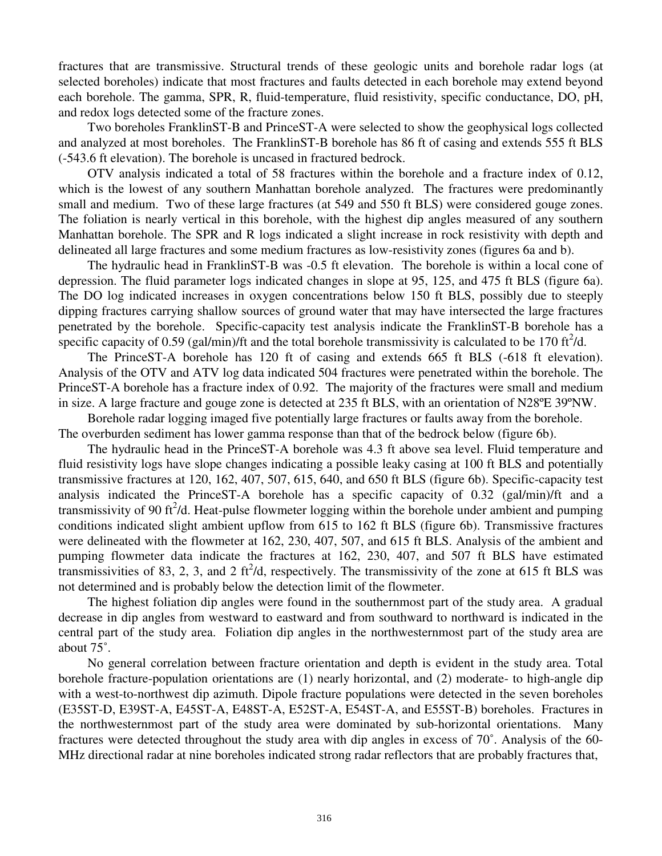fractures that are transmissive. Structural trends of these geologic units and borehole radar logs (at selected boreholes) indicate that most fractures and faults detected in each borehole may extend beyond each borehole. The gamma, SPR, R, fluid-temperature, fluid resistivity, specific conductance, DO, pH, and redox logs detected some of the fracture zones.

Two boreholes FranklinST-B and PrinceST-A were selected to show the geophysical logs collected and analyzed at most boreholes. The FranklinST-B borehole has 86 ft of casing and extends 555 ft BLS (-543.6 ft elevation). The borehole is uncased in fractured bedrock.

OTV analysis indicated a total of 58 fractures within the borehole and a fracture index of 0.12, which is the lowest of any southern Manhattan borehole analyzed. The fractures were predominantly small and medium. Two of these large fractures (at 549 and 550 ft BLS) were considered gouge zones. The foliation is nearly vertical in this borehole, with the highest dip angles measured of any southern Manhattan borehole. The SPR and R logs indicated a slight increase in rock resistivity with depth and delineated all large fractures and some medium fractures as low-resistivity zones (figures 6a and b).

The hydraulic head in FranklinST-B was -0.5 ft elevation. The borehole is within a local cone of depression. The fluid parameter logs indicated changes in slope at 95, 125, and 475 ft BLS (figure 6a). The DO log indicated increases in oxygen concentrations below 150 ft BLS, possibly due to steeply dipping fractures carrying shallow sources of ground water that may have intersected the large fractures penetrated by the borehole. Specific-capacity test analysis indicate the FranklinST-B borehole has a specific capacity of 0.59 (gal/min)/ft and the total borehole transmissivity is calculated to be 170 ft<sup>2</sup>/d.

The PrinceST-A borehole has 120 ft of casing and extends 665 ft BLS (-618 ft elevation). Analysis of the OTV and ATV log data indicated 504 fractures were penetrated within the borehole. The PrinceST-A borehole has a fracture index of 0.92. The majority of the fractures were small and medium in size. A large fracture and gouge zone is detected at 235 ft BLS, with an orientation of N28ºE 39ºNW.

Borehole radar logging imaged five potentially large fractures or faults away from the borehole. The overburden sediment has lower gamma response than that of the bedrock below (figure 6b).

The hydraulic head in the PrinceST-A borehole was 4.3 ft above sea level. Fluid temperature and fluid resistivity logs have slope changes indicating a possible leaky casing at 100 ft BLS and potentially transmissive fractures at 120, 162, 407, 507, 615, 640, and 650 ft BLS (figure 6b). Specific-capacity test analysis indicated the PrinceST-A borehole has a specific capacity of 0.32 (gal/min)/ft and a transmissivity of 90 ft<sup>2</sup>/d. Heat-pulse flowmeter logging within the borehole under ambient and pumping conditions indicated slight ambient upflow from 615 to 162 ft BLS (figure 6b). Transmissive fractures were delineated with the flowmeter at 162, 230, 407, 507, and 615 ft BLS. Analysis of the ambient and pumping flowmeter data indicate the fractures at 162, 230, 407, and 507 ft BLS have estimated transmissivities of 83, 2, 3, and 2 ft<sup>2</sup>/d, respectively. The transmissivity of the zone at 615 ft BLS was not determined and is probably below the detection limit of the flowmeter.

The highest foliation dip angles were found in the southernmost part of the study area. A gradual decrease in dip angles from westward to eastward and from southward to northward is indicated in the central part of the study area. Foliation dip angles in the northwesternmost part of the study area are about 75˚.

No general correlation between fracture orientation and depth is evident in the study area. Total borehole fracture-population orientations are (1) nearly horizontal, and (2) moderate- to high-angle dip with a west-to-northwest dip azimuth. Dipole fracture populations were detected in the seven boreholes (E35ST-D, E39ST-A, E45ST-A, E48ST-A, E52ST-A, E54ST-A, and E55ST-B) boreholes. Fractures in the northwesternmost part of the study area were dominated by sub-horizontal orientations. Many fractures were detected throughout the study area with dip angles in excess of 70˚. Analysis of the 60- MHz directional radar at nine boreholes indicated strong radar reflectors that are probably fractures that,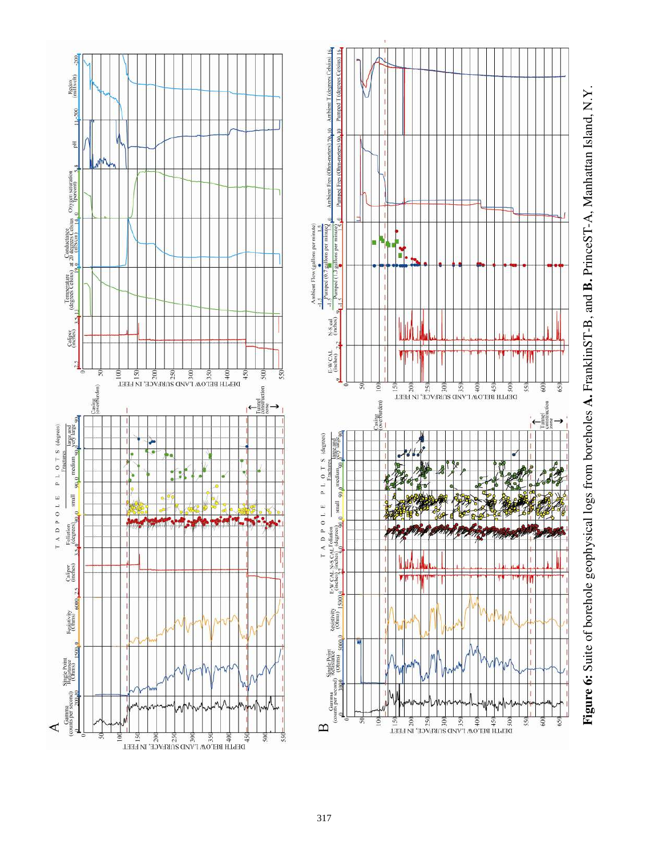

**Figure 6:** Suite of borehole geophysical logs from boreholes **A.** FranklinST-B, and **B.** PrinceST-A, Manhattan Island, N.Y. Figure 6: Suite of borehole geophysical logs from boreholes A. FranklinST-B, and B. PrinceST-A, Manhattan Island, N.Y.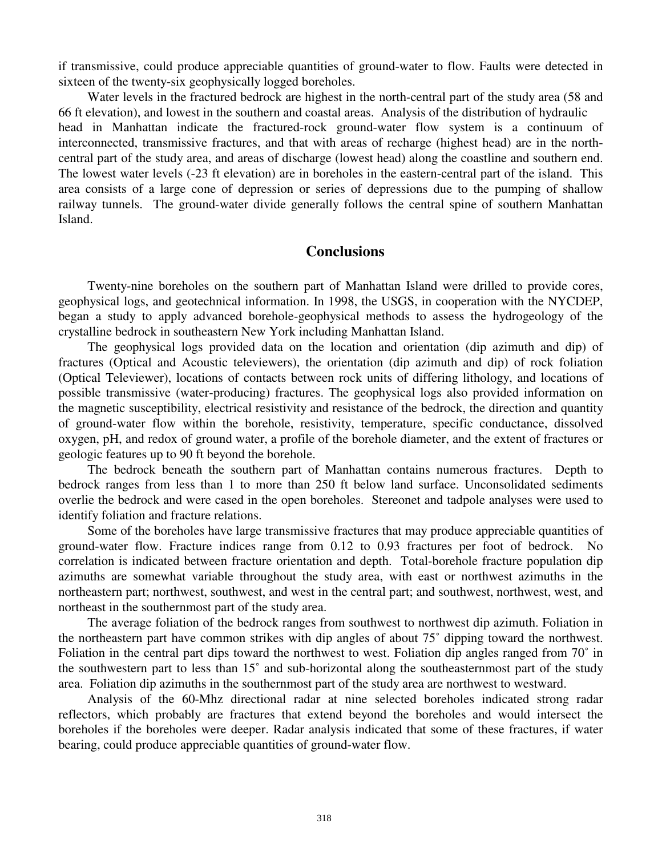if transmissive, could produce appreciable quantities of ground-water to flow. Faults were detected in sixteen of the twenty-six geophysically logged boreholes.

Water levels in the fractured bedrock are highest in the north-central part of the study area (58 and 66 ft elevation), and lowest in the southern and coastal areas. Analysis of the distribution of hydraulic head in Manhattan indicate the fractured-rock ground-water flow system is a continuum of interconnected, transmissive fractures, and that with areas of recharge (highest head) are in the northcentral part of the study area, and areas of discharge (lowest head) along the coastline and southern end. The lowest water levels (-23 ft elevation) are in boreholes in the eastern-central part of the island. This area consists of a large cone of depression or series of depressions due to the pumping of shallow railway tunnels. The ground-water divide generally follows the central spine of southern Manhattan Island.

## **Conclusions**

Twenty-nine boreholes on the southern part of Manhattan Island were drilled to provide cores, geophysical logs, and geotechnical information. In 1998, the USGS, in cooperation with the NYCDEP, began a study to apply advanced borehole-geophysical methods to assess the hydrogeology of the crystalline bedrock in southeastern New York including Manhattan Island.

The geophysical logs provided data on the location and orientation (dip azimuth and dip) of fractures (Optical and Acoustic televiewers), the orientation (dip azimuth and dip) of rock foliation (Optical Televiewer), locations of contacts between rock units of differing lithology, and locations of possible transmissive (water-producing) fractures. The geophysical logs also provided information on the magnetic susceptibility, electrical resistivity and resistance of the bedrock, the direction and quantity of ground-water flow within the borehole, resistivity, temperature, specific conductance, dissolved oxygen, pH, and redox of ground water, a profile of the borehole diameter, and the extent of fractures or geologic features up to 90 ft beyond the borehole.

The bedrock beneath the southern part of Manhattan contains numerous fractures. Depth to bedrock ranges from less than 1 to more than 250 ft below land surface. Unconsolidated sediments overlie the bedrock and were cased in the open boreholes. Stereonet and tadpole analyses were used to identify foliation and fracture relations.

Some of the boreholes have large transmissive fractures that may produce appreciable quantities of ground-water flow. Fracture indices range from 0.12 to 0.93 fractures per foot of bedrock. No correlation is indicated between fracture orientation and depth. Total-borehole fracture population dip azimuths are somewhat variable throughout the study area, with east or northwest azimuths in the northeastern part; northwest, southwest, and west in the central part; and southwest, northwest, west, and northeast in the southernmost part of the study area.

The average foliation of the bedrock ranges from southwest to northwest dip azimuth. Foliation in the northeastern part have common strikes with dip angles of about 75˚ dipping toward the northwest. Foliation in the central part dips toward the northwest to west. Foliation dip angles ranged from 70˚ in the southwestern part to less than 15˚ and sub-horizontal along the southeasternmost part of the study area. Foliation dip azimuths in the southernmost part of the study area are northwest to westward.

Analysis of the 60-Mhz directional radar at nine selected boreholes indicated strong radar reflectors, which probably are fractures that extend beyond the boreholes and would intersect the boreholes if the boreholes were deeper. Radar analysis indicated that some of these fractures, if water bearing, could produce appreciable quantities of ground-water flow.